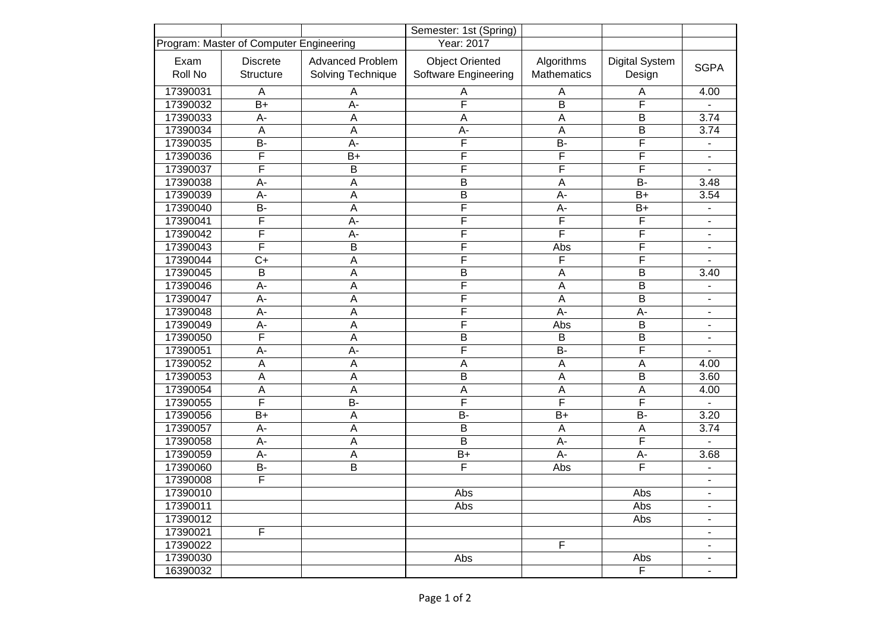|                                         |                  |                         | Semester: 1st (Spring)  |                    |                         |                              |
|-----------------------------------------|------------------|-------------------------|-------------------------|--------------------|-------------------------|------------------------------|
| Program: Master of Computer Engineering |                  |                         | Year: 2017              |                    |                         |                              |
| Exam                                    | <b>Discrete</b>  | <b>Advanced Problem</b> | <b>Object Oriented</b>  | Algorithms         | <b>Digital System</b>   | <b>SGPA</b>                  |
| Roll No                                 | <b>Structure</b> | Solving Technique       | Software Engineering    | <b>Mathematics</b> | Design                  |                              |
| 17390031                                | A                | Α                       | Α                       | A                  | Α                       | 4.00                         |
| 17390032                                | $B+$             | A-                      | F                       | B                  | F                       |                              |
| 17390033                                | A-               | A                       | A                       | $\overline{A}$     | В                       | 3.74                         |
| 17390034                                | $\overline{A}$   | A                       | A-                      | $\overline{A}$     | B                       | 3.74                         |
| 17390035                                | B-               | $A -$                   | F                       | <b>B-</b>          | F                       | $\overline{\phantom{0}}$     |
| 17390036                                | F                | $B+$                    | F                       | $\overline{F}$     | F                       | ä,                           |
| 17390037                                | F                | B                       | $\overline{\mathsf{F}}$ | F                  | F                       |                              |
| 17390038                                | A-               | Α                       | B                       | $\overline{A}$     | B-                      | 3.48                         |
| 17390039                                | A-               | A                       | B                       | $A -$              | $B+$                    | 3.54                         |
| 17390040                                | B-               | A                       | $\overline{\mathsf{F}}$ | $A -$              | $B+$                    | -                            |
| 17390041                                | F                | A-                      | F                       | F                  | F                       | ä,                           |
| 17390042                                | F                | A-                      | $\overline{F}$          | F                  | F                       | ۰                            |
| 17390043                                | F                | B                       | F                       | Abs                | F                       | ۰                            |
| 17390044                                | $C+$             | Α                       | $\overline{F}$          | F                  | F                       |                              |
| 17390045                                | $\overline{B}$   | $\overline{A}$          | $\overline{B}$          | $\overline{A}$     | B                       | 3.40                         |
| 17390046                                | A-               | $\mathsf A$             | $\overline{\mathsf{F}}$ | $\overline{A}$     | $\overline{\mathsf{B}}$ | ۰                            |
| 17390047                                | A-               | A                       | $\overline{F}$          | $\mathsf A$        | B                       | ۰                            |
| 17390048                                | A-               | $\overline{A}$          | $\overline{F}$          | $A -$              | A-                      | ۰                            |
| 17390049                                | A-               | A                       | F                       | Abs                | B                       | $\blacksquare$               |
| 17390050                                | F                | A                       | $\overline{B}$          | $\sf B$            | $\overline{B}$          | ۰                            |
| 17390051                                | A-               | А-                      | $\overline{\mathsf{F}}$ | <b>B-</b>          | $\overline{F}$          | ۰                            |
| 17390052                                | A                | Α                       | A                       | A                  | A                       | 4.00                         |
| 17390053                                | $\overline{A}$   | A                       | $\overline{B}$          | $\overline{A}$     | B                       | 3.60                         |
| 17390054                                | A                | Α                       | A                       | A                  | A                       | 4.00                         |
| 17390055                                | F                | <b>B-</b>               | F                       | F                  | F                       |                              |
| 17390056                                | $B+$             | A                       | <b>B-</b>               | $B+$               | B-                      | 3.20                         |
| 17390057                                | A-               | A                       | B                       | $\overline{A}$     | A                       | 3.74                         |
| 17390058                                | A-               | A                       | B                       | A-                 | F                       |                              |
| 17390059                                | A-               | Α                       | $B+$                    | $A -$              | A-                      | 3.68                         |
| 17390060                                | <b>B-</b>        | B                       | F                       | Abs                | F                       |                              |
| 17390008                                | F                |                         |                         |                    |                         | $\overline{\phantom{0}}$     |
| 17390010                                |                  |                         | Abs                     |                    | Abs                     |                              |
| 17390011                                |                  |                         | Abs                     |                    | Abs                     | ۰                            |
| 17390012                                |                  |                         |                         |                    | Abs                     | $\overline{\phantom{a}}$     |
| 17390021                                | F                |                         |                         |                    |                         | $\qquad \qquad \blacksquare$ |
| 17390022                                |                  |                         |                         | F                  |                         | $\overline{\phantom{a}}$     |
| 17390030                                |                  |                         | Abs                     |                    | Abs                     | ۰                            |
| 16390032                                |                  |                         |                         |                    | $\overline{F}$          | ۰                            |